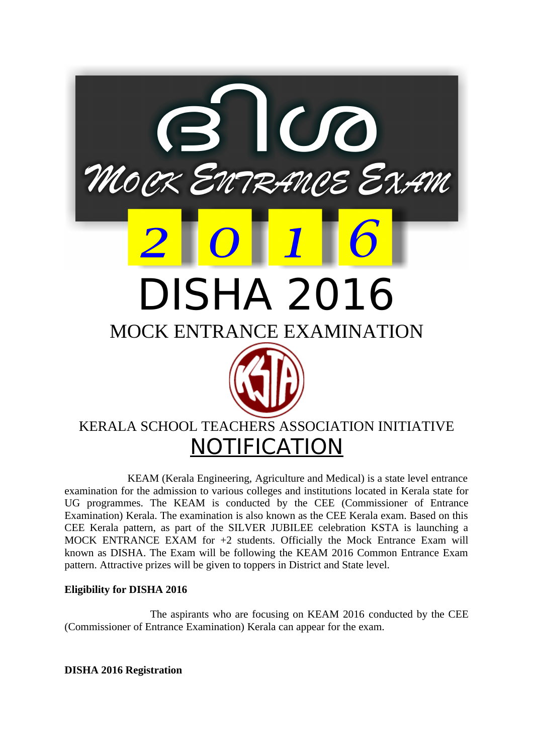

 KEAM (Kerala Engineering, Agriculture and Medical) is a state level entrance examination for the admission to various colleges and institutions located in Kerala state for UG programmes. The KEAM is conducted by the CEE (Commissioner of Entrance Examination) Kerala. The examination is also known as the CEE Kerala exam. Based on this CEE Kerala pattern, as part of the SILVER JUBILEE celebration KSTA is launching a MOCK ENTRANCE EXAM for +2 students. Officially the Mock Entrance Exam will known as DISHA. The Exam will be following the KEAM 2016 Common Entrance Exam pattern. Attractive prizes will be given to toppers in District and State level.

## **Eligibility for DISHA 2016**

 The aspirants who are focusing on KEAM 2016 conducted by the CEE (Commissioner of Entrance Examination) Kerala can appear for the exam.

**DISHA 2016 Registration**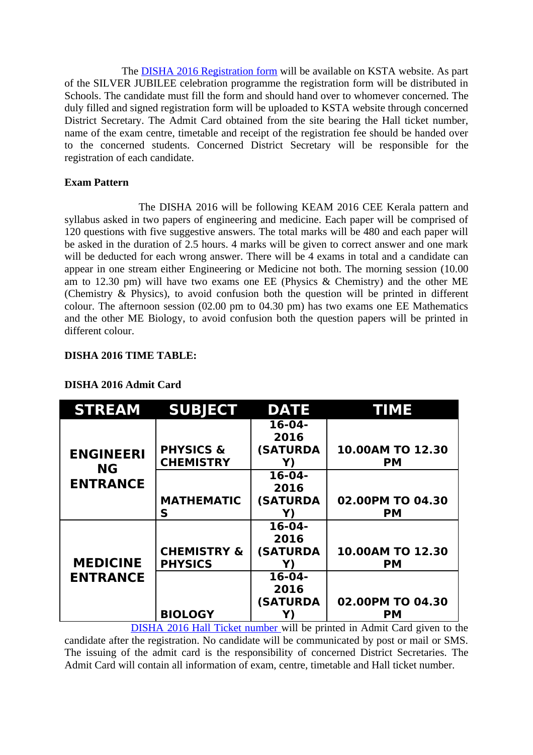The **[DISHA 2016 Registration form](http://www.sarvgyan.com/articles/keam-2016-application-form)** will be available on KSTA website. As part of the SILVER JUBILEE celebration programme the registration form will be distributed in Schools. The candidate must fill the form and should hand over to whomever concerned. The duly filled and signed registration form will be uploaded to KSTA website through concerned District Secretary. The Admit Card obtained from the site bearing the Hall ticket number, name of the exam centre, timetable and receipt of the registration fee should be handed over to the concerned students. Concerned District Secretary will be responsible for the registration of each candidate.

## **Exam Pattern**

 The DISHA 2016 will be following KEAM 2016 CEE Kerala pattern and syllabus asked in two papers of engineering and medicine. Each paper will be comprised of 120 questions with five suggestive answers. The total marks will be 480 and each paper will be asked in the duration of 2.5 hours. 4 marks will be given to correct answer and one mark will be deducted for each wrong answer. There will be 4 exams in total and a candidate can appear in one stream either Engineering or Medicine not both. The morning session (10.00 am to 12.30 pm) will have two exams one EE (Physics & Chemistry) and the other ME (Chemistry & Physics), to avoid confusion both the question will be printed in different colour. The afternoon session (02.00 pm to 04.30 pm) has two exams one EE Mathematics and the other ME Biology, to avoid confusion both the question papers will be printed in different colour.

## **DISHA 2016 TIME TABLE:**

| <b>STREAM</b>                                    | <b>SUBJECT</b>         | <b>DATE</b>     | <b>TIME</b>      |
|--------------------------------------------------|------------------------|-----------------|------------------|
| <b>ENGINEERI</b><br><b>NG</b><br><b>ENTRANCE</b> |                        | $16-04-$        |                  |
|                                                  |                        | 2016            |                  |
|                                                  | <b>PHYSICS &amp;</b>   | <b>(SATURDA</b> | 10.00AM TO 12.30 |
|                                                  | <b>CHEMISTRY</b>       | Y)              | <b>PM</b>        |
|                                                  |                        | $16-04-$        |                  |
|                                                  |                        | 2016            |                  |
|                                                  | <b>MATHEMATIC</b>      | <b>(SATURDA</b> | 02.00PM TO 04.30 |
|                                                  | S                      | Y)              | <b>PM</b>        |
| <b>MEDICINE</b><br><b>ENTRANCE</b>               |                        | $16-04-$        |                  |
|                                                  |                        | 2016            |                  |
|                                                  | <b>CHEMISTRY &amp;</b> | <b>(SATURDA</b> | 10.00AM TO 12.30 |
|                                                  | <b>PHYSICS</b>         | Y)              | <b>PM</b>        |
|                                                  |                        | $16-04-$        |                  |
|                                                  |                        | 2016            |                  |
|                                                  |                        | <b>(SATURDA</b> | 02.00PM TO 04.30 |
|                                                  | <b>BIOLOGY</b>         |                 | PМ               |

# **DISHA 2016 Admit Card**

 [DISHA 2016 Hall Ticket number w](http://www.sarvgyan.com/admitcards/keam-hall-ticket-2016)ill be printed in Admit Card given to the candidate after the registration. No candidate will be communicated by post or mail or SMS. The issuing of the admit card is the responsibility of concerned District Secretaries. The Admit Card will contain all information of exam, centre, timetable and Hall ticket number.